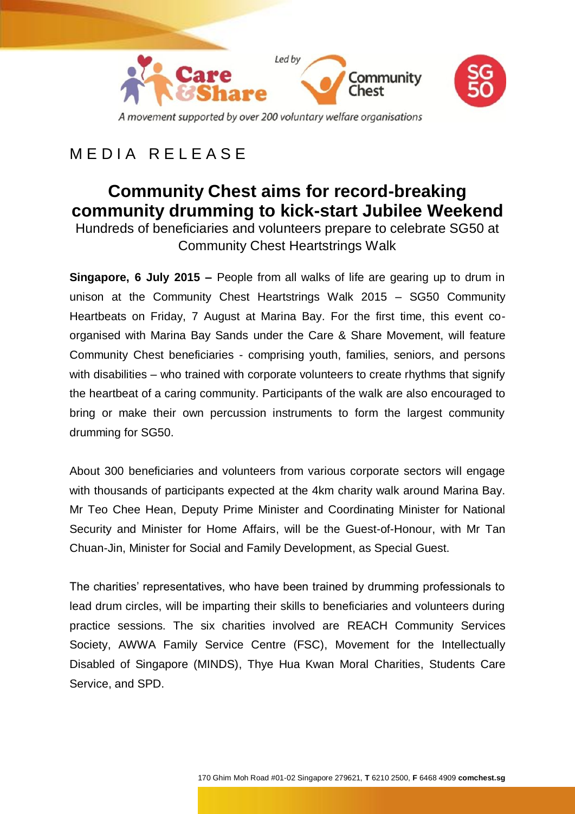

# MEDIA RELEASE

# **Community Chest aims for record-breaking community drumming to kick-start Jubilee Weekend**

Hundreds of beneficiaries and volunteers prepare to celebrate SG50 at Community Chest Heartstrings Walk

**Singapore, 6 July 2015 –** People from all walks of life are gearing up to drum in unison at the Community Chest Heartstrings Walk 2015 – SG50 Community Heartbeats on Friday, 7 August at Marina Bay. For the first time, this event coorganised with Marina Bay Sands under the Care & Share Movement, will feature Community Chest beneficiaries - comprising youth, families, seniors, and persons with disabilities – who trained with corporate volunteers to create rhythms that signify the heartbeat of a caring community. Participants of the walk are also encouraged to bring or make their own percussion instruments to form the largest community drumming for SG50.

About 300 beneficiaries and volunteers from various corporate sectors will engage with thousands of participants expected at the 4km charity walk around Marina Bay. Mr Teo Chee Hean, Deputy Prime Minister and Coordinating Minister for National Security and Minister for Home Affairs, will be the Guest-of-Honour, with Mr Tan Chuan-Jin, Minister for Social and Family Development, as Special Guest.

The charities' representatives, who have been trained by drumming professionals to lead drum circles, will be imparting their skills to beneficiaries and volunteers during practice sessions. The six charities involved are REACH Community Services Society, AWWA Family Service Centre (FSC), Movement for the Intellectually Disabled of Singapore (MINDS), Thye Hua Kwan Moral Charities, Students Care Service, and SPD.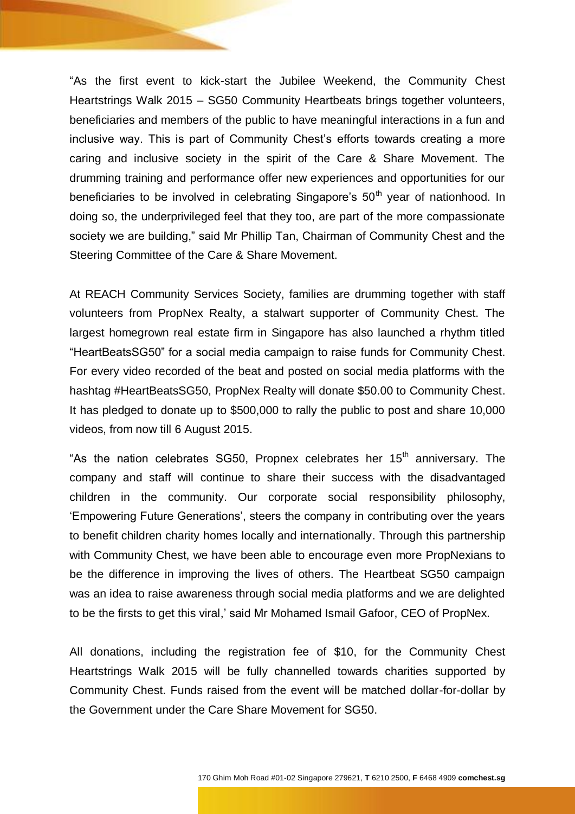"As the first event to kick-start the Jubilee Weekend, the Community Chest Heartstrings Walk 2015 – SG50 Community Heartbeats brings together volunteers, beneficiaries and members of the public to have meaningful interactions in a fun and inclusive way. This is part of Community Chest's efforts towards creating a more caring and inclusive society in the spirit of the Care & Share Movement. The drumming training and performance offer new experiences and opportunities for our beneficiaries to be involved in celebrating Singapore's  $50<sup>th</sup>$  year of nationhood. In doing so, the underprivileged feel that they too, are part of the more compassionate society we are building," said Mr Phillip Tan, Chairman of Community Chest and the Steering Committee of the Care & Share Movement.

At REACH Community Services Society, families are drumming together with staff volunteers from PropNex Realty, a stalwart supporter of Community Chest. The largest homegrown real estate firm in Singapore has also launched a rhythm titled "HeartBeatsSG50" for a social media campaign to raise funds for Community Chest. For every video recorded of the beat and posted on social media platforms with the hashtag #HeartBeatsSG50, PropNex Realty will donate \$50.00 to Community Chest. It has pledged to donate up to \$500,000 to rally the public to post and share 10,000 videos, from now till 6 August 2015.

"As the nation celebrates SG50, Propnex celebrates her  $15<sup>th</sup>$  anniversary. The company and staff will continue to share their success with the disadvantaged children in the community. Our corporate social responsibility philosophy, 'Empowering Future Generations', steers the company in contributing over the years to benefit children charity homes locally and internationally. Through this partnership with Community Chest, we have been able to encourage even more PropNexians to be the difference in improving the lives of others. The Heartbeat SG50 campaign was an idea to raise awareness through social media platforms and we are delighted to be the firsts to get this viral,' said Mr Mohamed Ismail Gafoor, CEO of PropNex.

All donations, including the registration fee of \$10, for the Community Chest Heartstrings Walk 2015 will be fully channelled towards charities supported by Community Chest. Funds raised from the event will be matched dollar-for-dollar by the Government under the Care Share Movement for SG50.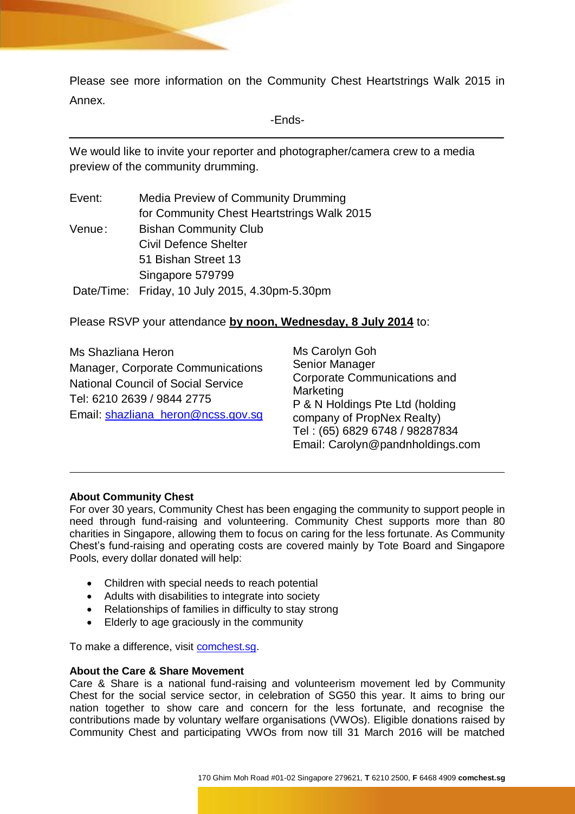Please see more information on the Community Chest Heartstrings Walk 2015 in Annex.

-Ends-

We would like to invite your reporter and photographer/camera crew to a media preview of the community drumming.

| Event: | Media Preview of Community Drumming            |
|--------|------------------------------------------------|
|        | for Community Chest Heartstrings Walk 2015     |
| Venue: | <b>Bishan Community Club</b>                   |
|        | <b>Civil Defence Shelter</b>                   |
|        | 51 Bishan Street 13                            |
|        | Singapore 579799                               |
|        | Date/Time: Friday, 10 July 2015, 4.30pm-5.30pm |

Please RSVP your attendance **by noon, Wednesday, 8 July 2014** to:

Ms Shazliana Heron Manager, Corporate Communications National Council of Social Service Tel: 6210 2639 / 9844 2775 Email: [shazliana\\_heron@ncss.gov.sg](mailto:shazliana_heron@ncss.gov.sg)

Ms Carolyn Goh Senior Manager Corporate Communications and Marketing P & N Holdings Pte Ltd (holding company of PropNex Realty) Tel : (65) 6829 6748 / 98287834 Email: Carolyn@pandnholdings.com

### **About Community Chest**

For over 30 years, Community Chest has been engaging the community to support people in need through fund-raising and volunteering. Community Chest supports more than 80 charities in Singapore, allowing them to focus on caring for the less fortunate. As Community Chest's fund-raising and operating costs are covered mainly by Tote Board and Singapore Pools, every dollar donated will help:

- Children with special needs to reach potential
- Adults with disabilities to integrate into society
- Relationships of families in difficulty to stay strong
- Elderly to age graciously in the community

To make a difference, visit [comchest.sg.](http://www.comchest.sg/)

#### **About the Care & Share Movement**

Care & Share is a national fund-raising and volunteerism movement led by Community Chest for the social service sector, in celebration of SG50 this year. It aims to bring our nation together to show care and concern for the less fortunate, and recognise the contributions made by voluntary welfare organisations (VWOs). Eligible donations raised by Community Chest and participating VWOs from now till 31 March 2016 will be matched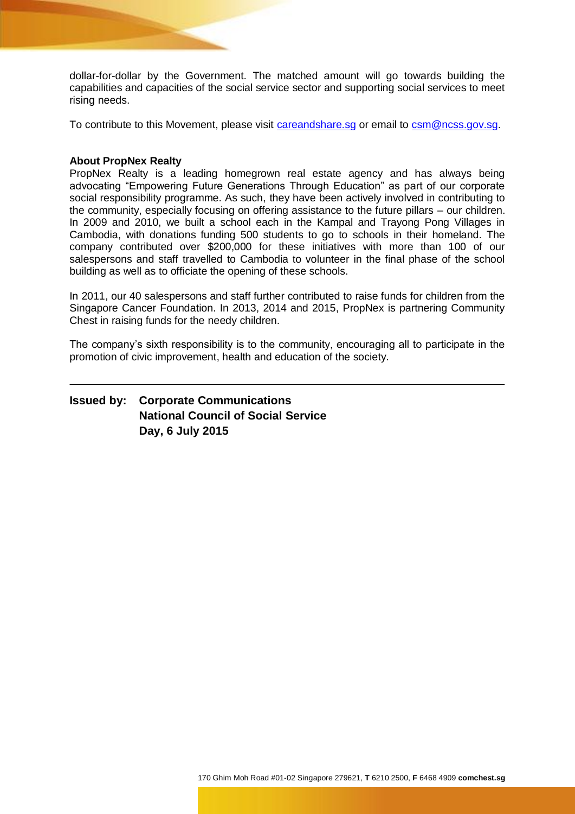dollar-for-dollar by the Government. The matched amount will go towards building the capabilities and capacities of the social service sector and supporting social services to meet rising needs.

To contribute to this Movement, please visit [careandshare.sg](http://www.careandshare.sg/) or email to [csm@ncss.gov.sg.](mailto:csm@ncss.gov.sg)

### **About PropNex Realty**

PropNex Realty is a leading homegrown real estate agency and has always being advocating "Empowering Future Generations Through Education" as part of our corporate social responsibility programme. As such, they have been actively involved in contributing to the community, especially focusing on offering assistance to the future pillars – our children. In 2009 and 2010, we built a school each in the Kampal and Trayong Pong Villages in Cambodia, with donations funding 500 students to go to schools in their homeland. The company contributed over \$200,000 for these initiatives with more than 100 of our salespersons and staff travelled to Cambodia to volunteer in the final phase of the school building as well as to officiate the opening of these schools.

In 2011, our 40 salespersons and staff further contributed to raise funds for children from the Singapore Cancer Foundation. In 2013, 2014 and 2015, PropNex is partnering Community Chest in raising funds for the needy children.

The company's sixth responsibility is to the community, encouraging all to participate in the promotion of civic improvement, health and education of the society.

**Issued by: Corporate Communications National Council of Social Service Day, 6 July 2015**